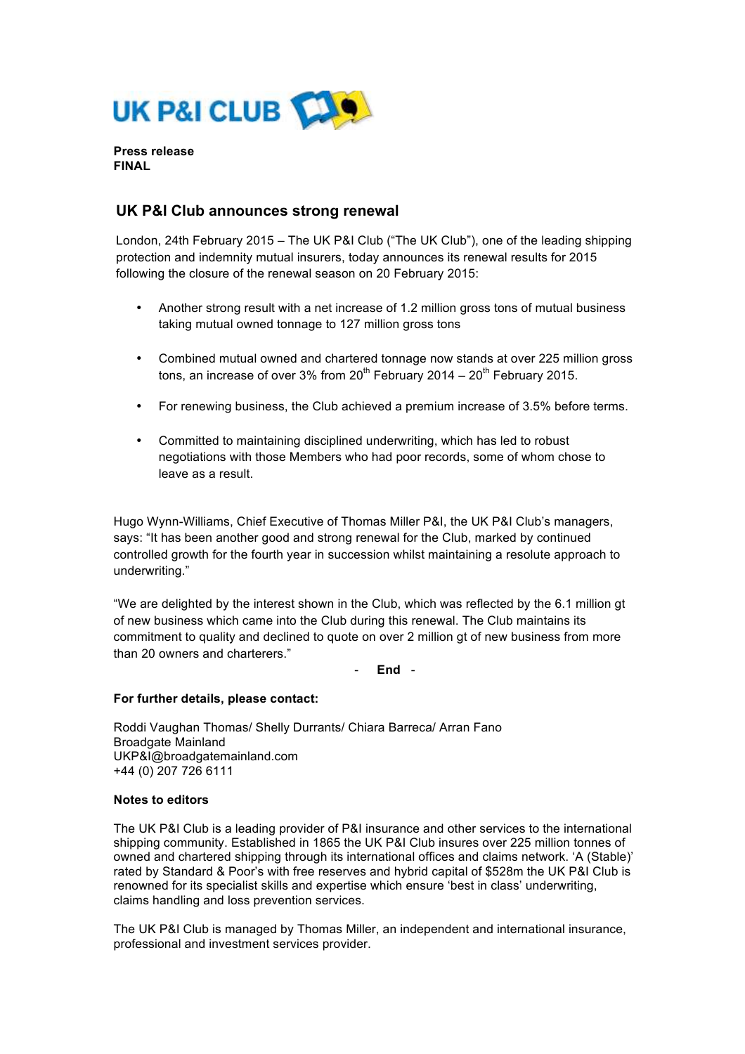

**Press release FINAL**

# **UK P&I Club announces strong renewal**

London, 24th February 2015 – The UK P&I Club ("The UK Club"), one of the leading shipping protection and indemnity mutual insurers, today announces its renewal results for 2015 following the closure of the renewal season on 20 February 2015:

- Another strong result with a net increase of 1.2 million gross tons of mutual business taking mutual owned tonnage to 127 million gross tons
- Combined mutual owned and chartered tonnage now stands at over 225 million gross tons, an increase of over 3% from  $20^{th}$  February 2014 –  $20^{th}$  February 2015.
- For renewing business, the Club achieved a premium increase of 3.5% before terms.
- Committed to maintaining disciplined underwriting, which has led to robust negotiations with those Members who had poor records, some of whom chose to leave as a result.

Hugo Wynn-Williams, Chief Executive of Thomas Miller P&I, the UK P&I Club's managers, says: "It has been another good and strong renewal for the Club, marked by continued controlled growth for the fourth year in succession whilst maintaining a resolute approach to underwriting."

"We are delighted by the interest shown in the Club, which was reflected by the 6.1 million gt of new business which came into the Club during this renewal. The Club maintains its commitment to quality and declined to quote on over 2 million gt of new business from more than 20 owners and charterers."

- **End** -

## **For further details, please contact:**

Roddi Vaughan Thomas/ Shelly Durrants/ Chiara Barreca/ Arran Fano Broadgate Mainland UKP&I@broadgatemainland.com +44 (0) 207 726 6111

## **Notes to editors**

The UK P&I Club is a leading provider of P&I insurance and other services to the international shipping community. Established in 1865 the UK P&I Club insures over 225 million tonnes of owned and chartered shipping through its international offices and claims network. 'A (Stable)' rated by Standard & Poor's with free reserves and hybrid capital of \$528m the UK P&I Club is renowned for its specialist skills and expertise which ensure 'best in class' underwriting, claims handling and loss prevention services.

The UK P&I Club is managed by Thomas Miller, an independent and international insurance, professional and investment services provider.